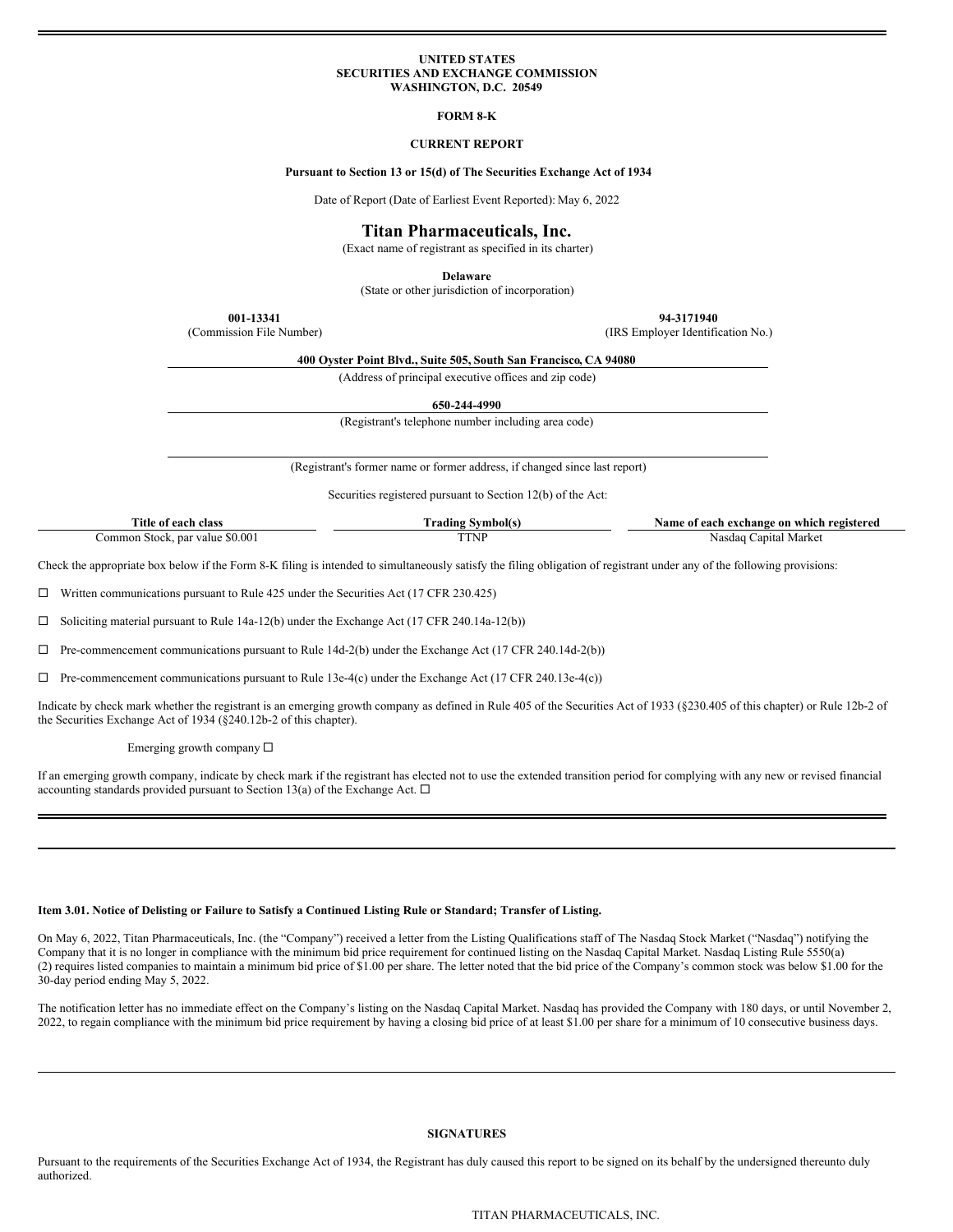#### **UNITED STATES SECURITIES AND EXCHANGE COMMISSION WASHINGTON, D.C. 20549**

**FORM 8-K**

## **CURRENT REPORT**

### **Pursuant to Section 13 or 15(d) of The Securities Exchange Act of 1934**

Date of Report (Date of Earliest Event Reported): May 6, 2022

# **Titan Pharmaceuticals, Inc.**

(Exact name of registrant as specified in its charter)

**Delaware**

(State or other jurisdiction of incorporation)

(Commission File Number) (IRS Employer Identification No.)

**400 Oyster Point Blvd., Suite 505, South San Francisco, CA 94080**

(Address of principal executive offices and zip code)

**650-244-4990**

(Registrant's telephone number including area code)

(Registrant's former name or former address, if changed since last report)

Securities registered pursuant to Section 12(b) of the Act:

| ïtk<br>. o o k<br>class<br>01<br>50L.    | aann.        | registeren<br>$\mathbf{w}$<br><b>Jame</b><br>-on<br>each<br>change:<br>which |
|------------------------------------------|--------------|------------------------------------------------------------------------------|
| 0.00<br>ommor<br>√alue<br>. stoch<br>nar | глт<br>1 INF | anital<br>Marke <sup>®</sup><br>Nasdaq                                       |

Check the appropriate box below if the Form 8-K filing is intended to simultaneously satisfy the filing obligation of registrant under any of the following provisions:

 $\Box$  Written communications pursuant to Rule 425 under the Securities Act (17 CFR 230.425)

 $\square$  Soliciting material pursuant to Rule 14a-12(b) under the Exchange Act (17 CFR 240.14a-12(b))

 $\Box$  Pre-commencement communications pursuant to Rule 14d-2(b) under the Exchange Act (17 CFR 240.14d-2(b))

 $\Box$  Pre-commencement communications pursuant to Rule 13e-4(c) under the Exchange Act (17 CFR 240.13e-4(c))

Indicate by check mark whether the registrant is an emerging growth company as defined in Rule 405 of the Securities Act of 1933 (§230.405 of this chapter) or Rule 12b-2 of the Securities Exchange Act of 1934 (§240.12b-2 of this chapter).

Emerging growth company  $\Box$ 

If an emerging growth company, indicate by check mark if the registrant has elected not to use the extended transition period for complying with any new or revised financial accounting standards provided pursuant to Section 13(a) of the Exchange Act.  $\Box$ 

### Item 3.01. Notice of Delisting or Failure to Satisfy a Continued Listing Rule or Standard; Transfer of Listing.

On May 6, 2022, Titan Pharmaceuticals, Inc. (the "Company") received a letter from the Listing Qualifications staff of The Nasdaq Stock Market ("Nasdaq") notifying the Company that it is no longer in compliance with the minimum bid price requirement for continued listing on the Nasdaq Capital Market. Nasdaq Listing Rule 5550(a) (2) requires listed companies to maintain a minimum bid price of \$1.00 per share. The letter noted that the bid price of the Company's common stock was below \$1.00 for the 30-day period ending May 5, 2022.

The notification letter has no immediate effect on the Company's listing on the Nasdaq Capital Market. Nasdaq has provided the Company with 180 days, or until November 2, 2022, to regain compliance with the minimum bid price requirement by having a closing bid price of at least \$1.00 per share for a minimum of 10 consecutive business days.

### **SIGNATURES**

Pursuant to the requirements of the Securities Exchange Act of 1934, the Registrant has duly caused this report to be signed on its behalf by the undersigned thereunto duly authorized.

**001-13341 94-3171940**